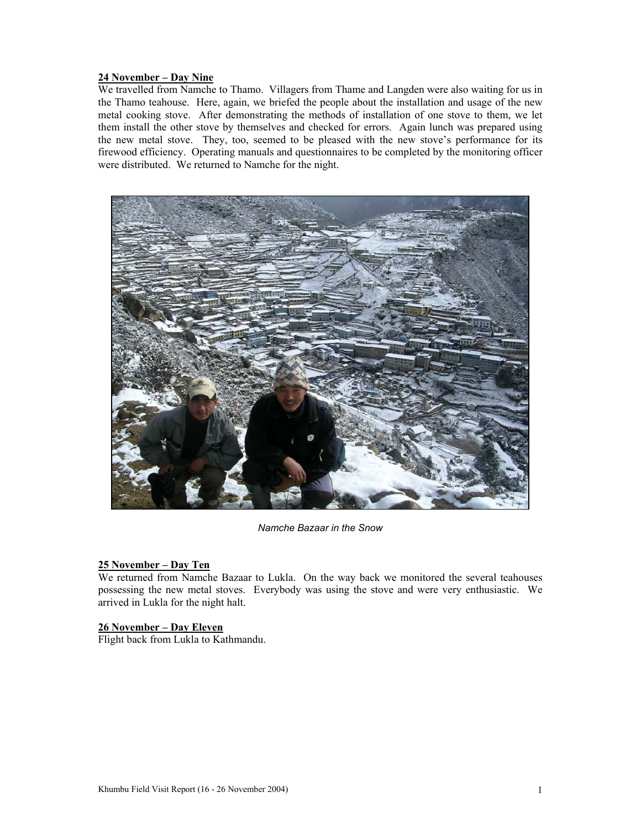### **24 November – Day Nine**

We travelled from Namche to Thamo. Villagers from Thame and Langden were also waiting for us in the Thamo teahouse. Here, again, we briefed the people about the installation and usage of the new metal cooking stove. After demonstrating the methods of installation of one stove to them, we let them install the other stove by themselves and checked for errors. Again lunch was prepared using the new metal stove. They, too, seemed to be pleased with the new stove's performance for its firewood efficiency. Operating manuals and questionnaires to be completed by the monitoring officer were distributed. We returned to Namche for the night.



*Namche Bazaar in the Snow* 

#### **25 November – Day Ten**

We returned from Namche Bazaar to Lukla. On the way back we monitored the several teahouses possessing the new metal stoves. Everybody was using the stove and were very enthusiastic. We arrived in Lukla for the night halt.

#### **26 November – Day Eleven**

Flight back from Lukla to Kathmandu.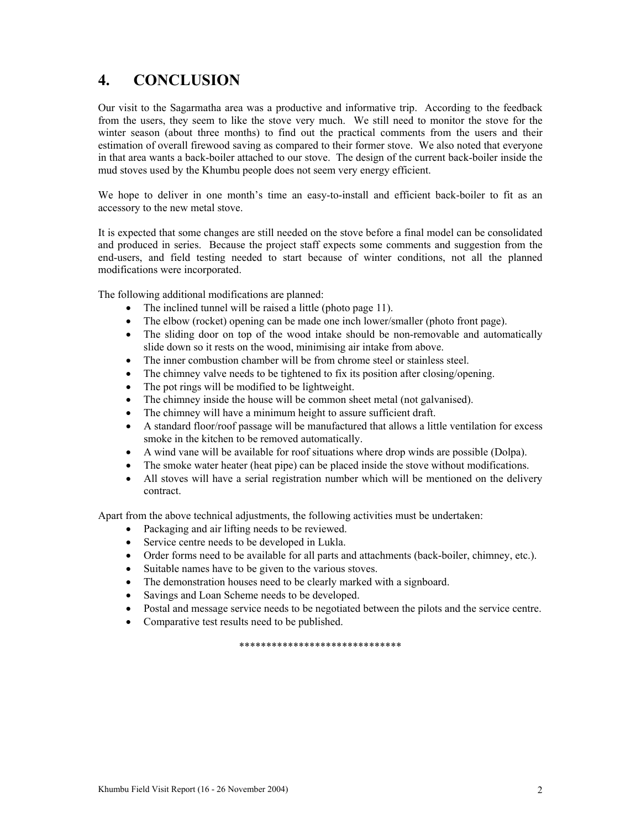# **4. CONCLUSION**

Our visit to the Sagarmatha area was a productive and informative trip. According to the feedback from the users, they seem to like the stove very much. We still need to monitor the stove for the winter season (about three months) to find out the practical comments from the users and their estimation of overall firewood saving as compared to their former stove. We also noted that everyone in that area wants a back-boiler attached to our stove. The design of the current back-boiler inside the mud stoves used by the Khumbu people does not seem very energy efficient.

We hope to deliver in one month's time an easy-to-install and efficient back-boiler to fit as an accessory to the new metal stove.

It is expected that some changes are still needed on the stove before a final model can be consolidated and produced in series. Because the project staff expects some comments and suggestion from the end-users, and field testing needed to start because of winter conditions, not all the planned modifications were incorporated.

The following additional modifications are planned:

- The inclined tunnel will be raised a little (photo page 11).
- The elbow (rocket) opening can be made one inch lower/smaller (photo front page).
- The sliding door on top of the wood intake should be non-removable and automatically slide down so it rests on the wood, minimising air intake from above.
- The inner combustion chamber will be from chrome steel or stainless steel.
- The chimney valve needs to be tightened to fix its position after closing/opening.
- The pot rings will be modified to be lightweight.
- The chimney inside the house will be common sheet metal (not galvanised).
- The chimney will have a minimum height to assure sufficient draft.
- A standard floor/roof passage will be manufactured that allows a little ventilation for excess smoke in the kitchen to be removed automatically.
- A wind vane will be available for roof situations where drop winds are possible (Dolpa).
- The smoke water heater (heat pipe) can be placed inside the stove without modifications.
- All stoves will have a serial registration number which will be mentioned on the delivery contract.

Apart from the above technical adjustments, the following activities must be undertaken:

- Packaging and air lifting needs to be reviewed.
- Service centre needs to be developed in Lukla.
- Order forms need to be available for all parts and attachments (back-boiler, chimney, etc.).
- Suitable names have to be given to the various stoves.
- The demonstration houses need to be clearly marked with a signboard.
- Savings and Loan Scheme needs to be developed.
- Postal and message service needs to be negotiated between the pilots and the service centre.
- Comparative test results need to be published.

\*\*\*\*\*\*\*\*\*\*\*\*\*\*\*\*\*\*\*\*\*\*\*\*\*\*\*\*\*\*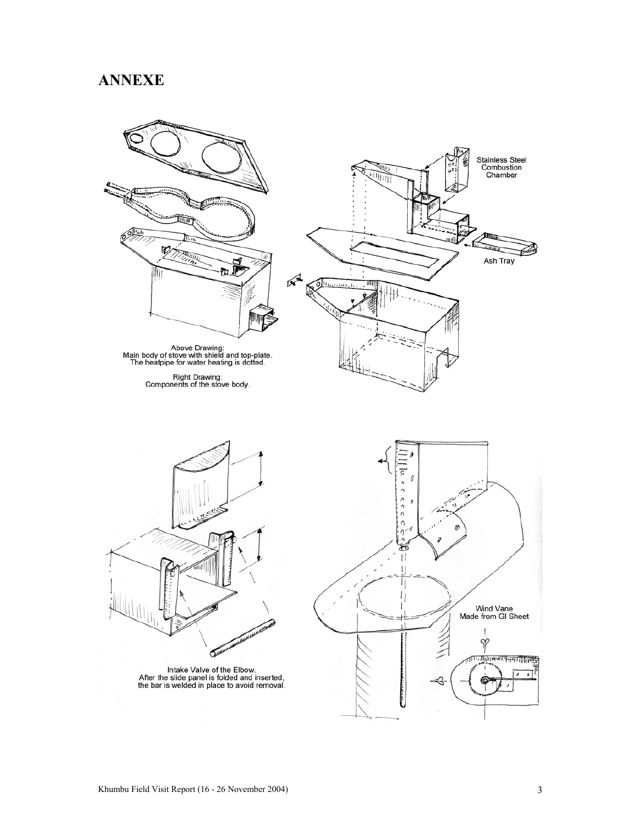## **ANNEXE**